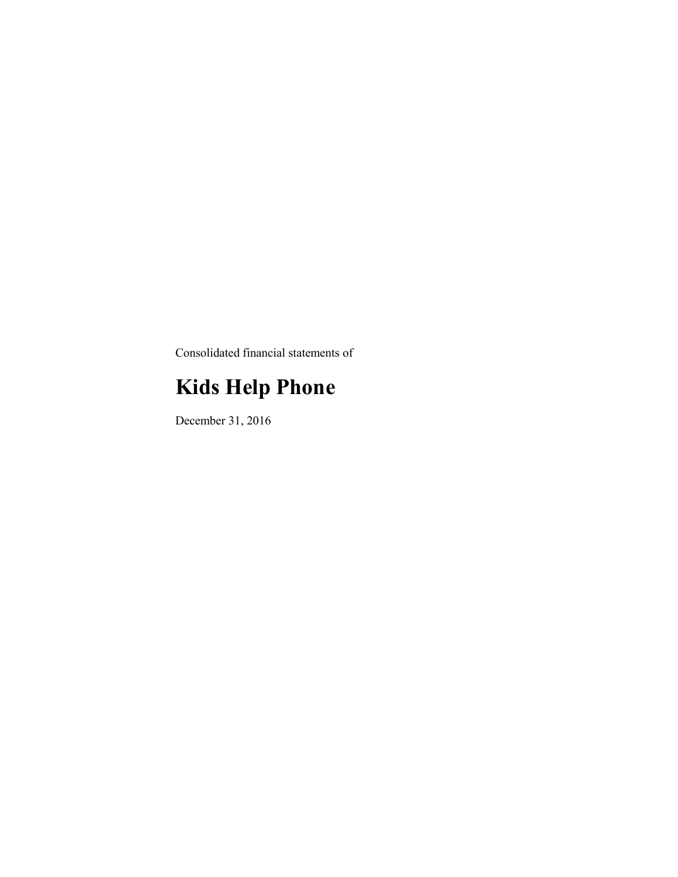Consolidated financial statements of

# **Kids Help Phone**

December 31, 2016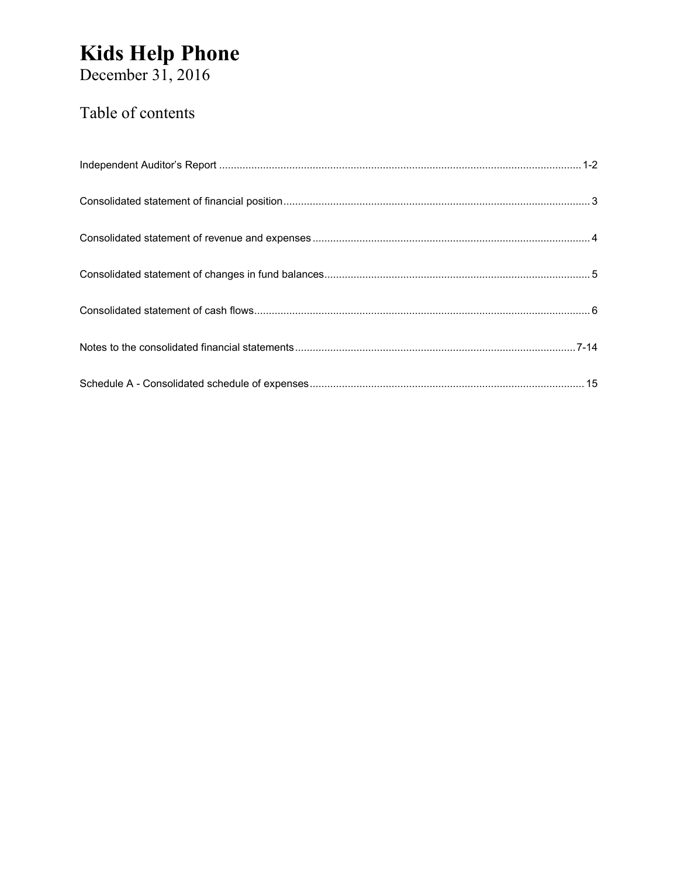December 31, 2016

### Table of contents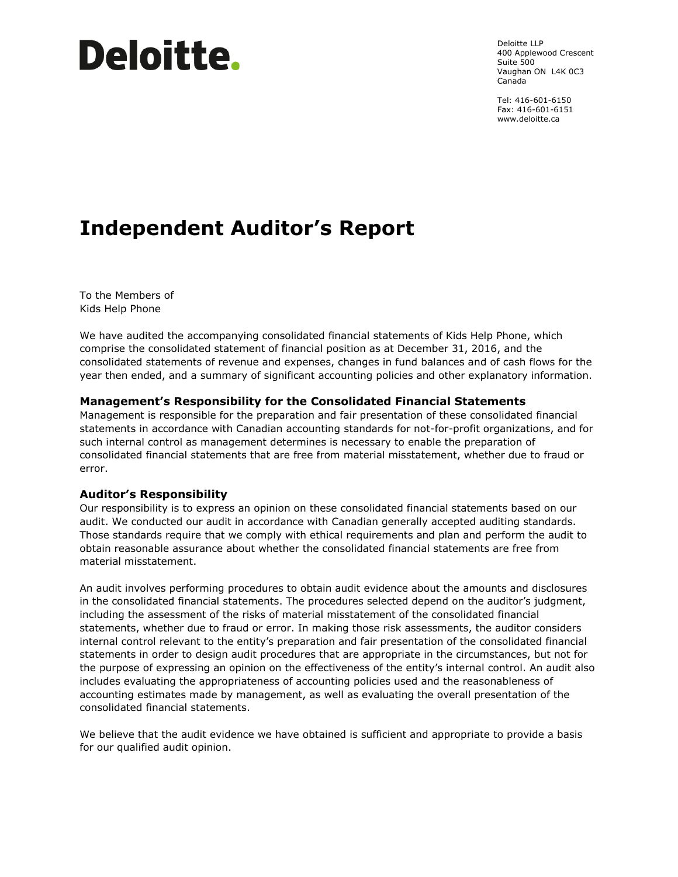# **Deloitte.**

Deloitte LLP 400 Applewood Crescent Suite 500 Vaughan ON L4K 0C3 Canada

Tel: 416-601-6150 Fax: 416-601-6151 www.deloitte.ca

### **Independent Auditor's Report**

To the Members of Kids Help Phone

We have audited the accompanying consolidated financial statements of Kids Help Phone, which comprise the consolidated statement of financial position as at December 31, 2016, and the consolidated statements of revenue and expenses, changes in fund balances and of cash flows for the year then ended, and a summary of significant accounting policies and other explanatory information.

#### **Management's Responsibility for the Consolidated Financial Statements**

Management is responsible for the preparation and fair presentation of these consolidated financial statements in accordance with Canadian accounting standards for not-for-profit organizations, and for such internal control as management determines is necessary to enable the preparation of consolidated financial statements that are free from material misstatement, whether due to fraud or error.

#### **Auditor's Responsibility**

Our responsibility is to express an opinion on these consolidated financial statements based on our audit. We conducted our audit in accordance with Canadian generally accepted auditing standards. Those standards require that we comply with ethical requirements and plan and perform the audit to obtain reasonable assurance about whether the consolidated financial statements are free from material misstatement.

An audit involves performing procedures to obtain audit evidence about the amounts and disclosures in the consolidated financial statements. The procedures selected depend on the auditor's judgment, including the assessment of the risks of material misstatement of the consolidated financial statements, whether due to fraud or error. In making those risk assessments, the auditor considers internal control relevant to the entity's preparation and fair presentation of the consolidated financial statements in order to design audit procedures that are appropriate in the circumstances, but not for the purpose of expressing an opinion on the effectiveness of the entity's internal control. An audit also includes evaluating the appropriateness of accounting policies used and the reasonableness of accounting estimates made by management, as well as evaluating the overall presentation of the consolidated financial statements.

We believe that the audit evidence we have obtained is sufficient and appropriate to provide a basis for our qualified audit opinion.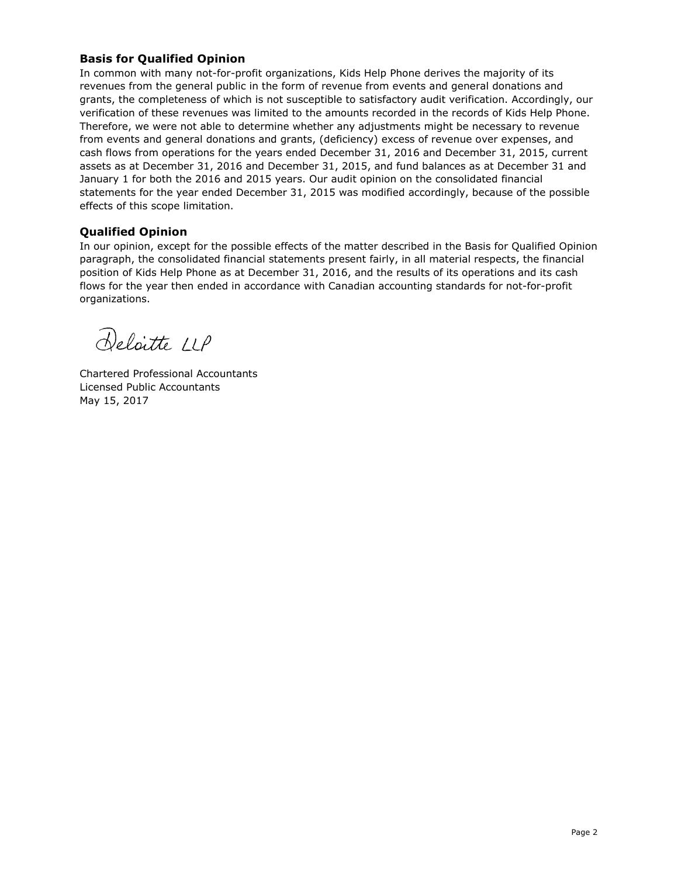#### **Basis for Qualified Opinion**

In common with many not-for-profit organizations, Kids Help Phone derives the majority of its revenues from the general public in the form of revenue from events and general donations and grants, the completeness of which is not susceptible to satisfactory audit verification. Accordingly, our verification of these revenues was limited to the amounts recorded in the records of Kids Help Phone. Therefore, we were not able to determine whether any adjustments might be necessary to revenue from events and general donations and grants, (deficiency) excess of revenue over expenses, and cash flows from operations for the years ended December 31, 2016 and December 31, 2015, current assets as at December 31, 2016 and December 31, 2015, and fund balances as at December 31 and January 1 for both the 2016 and 2015 years. Our audit opinion on the consolidated financial statements for the year ended December 31, 2015 was modified accordingly, because of the possible effects of this scope limitation.

#### **Qualified Opinion**

In our opinion, except for the possible effects of the matter described in the Basis for Qualified Opinion paragraph, the consolidated financial statements present fairly, in all material respects, the financial position of Kids Help Phone as at December 31, 2016, and the results of its operations and its cash flows for the year then ended in accordance with Canadian accounting standards for not-for-profit organizations.

Deloitte LLP

Chartered Professional Accountants Licensed Public Accountants May 15, 2017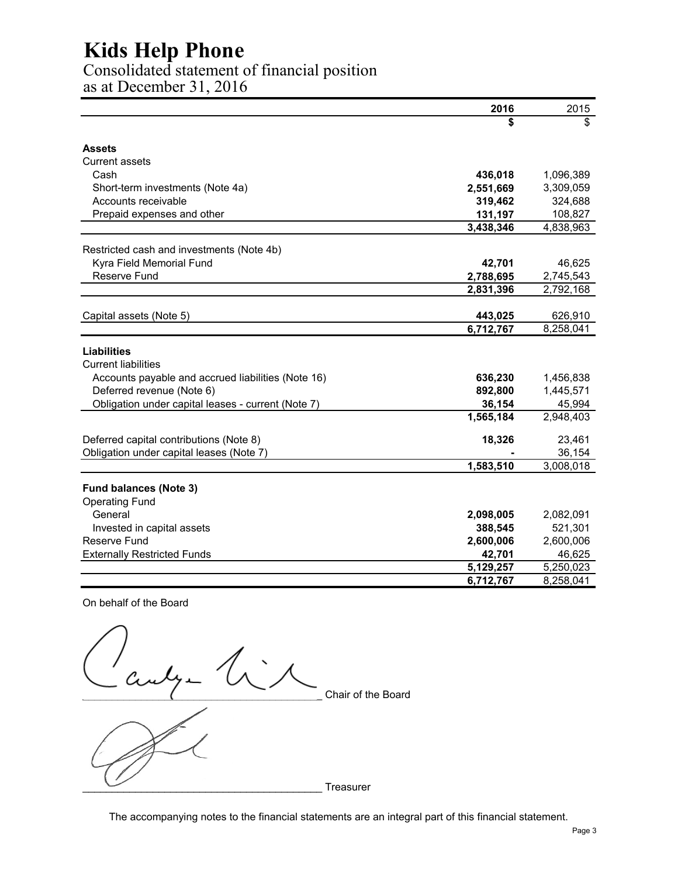### Consolidated statement of financial position

as at December 31, 2016

|                                                    | 2016      | 2015      |
|----------------------------------------------------|-----------|-----------|
|                                                    | \$        | \$        |
|                                                    |           |           |
| <b>Assets</b>                                      |           |           |
| <b>Current assets</b>                              |           |           |
| Cash                                               | 436,018   | 1,096,389 |
| Short-term investments (Note 4a)                   | 2,551,669 | 3,309,059 |
| Accounts receivable                                | 319,462   | 324,688   |
| Prepaid expenses and other                         | 131,197   | 108,827   |
|                                                    | 3,438,346 | 4,838,963 |
| Restricted cash and investments (Note 4b)          |           |           |
| Kyra Field Memorial Fund                           | 42,701    | 46,625    |
| <b>Reserve Fund</b>                                | 2,788,695 | 2,745,543 |
|                                                    | 2,831,396 | 2,792,168 |
|                                                    |           |           |
| Capital assets (Note 5)                            | 443,025   | 626,910   |
|                                                    | 6,712,767 | 8,258,041 |
|                                                    |           |           |
| Liabilities                                        |           |           |
| <b>Current liabilities</b>                         |           |           |
| Accounts payable and accrued liabilities (Note 16) | 636,230   | 1,456,838 |
| Deferred revenue (Note 6)                          | 892,800   | 1,445,571 |
| Obligation under capital leases - current (Note 7) | 36,154    | 45,994    |
|                                                    | 1,565,184 | 2,948,403 |
| Deferred capital contributions (Note 8)            | 18,326    | 23,461    |
| Obligation under capital leases (Note 7)           |           | 36,154    |
|                                                    | 1,583,510 | 3,008,018 |
|                                                    |           |           |
| <b>Fund balances (Note 3)</b>                      |           |           |
| <b>Operating Fund</b>                              |           |           |
| General                                            | 2,098,005 | 2,082,091 |
| Invested in capital assets                         | 388,545   | 521,301   |
| <b>Reserve Fund</b>                                | 2,600,006 | 2,600,006 |
| <b>Externally Restricted Funds</b>                 | 42,701    | 46,625    |
|                                                    | 5,129,257 | 5,250,023 |
|                                                    | 6,712,767 | 8,258,041 |

On behalf of the Board

 $\ddot{\phantom{0}}$ \_\_\_\_\_\_\_\_\_\_\_\_\_\_\_\_\_\_\_\_\_\_\_\_\_\_\_\_\_\_\_\_\_\_\_\_\_\_\_\_\_ Chair of the Board \_\_\_\_\_\_\_\_\_\_\_\_\_\_\_\_\_\_\_\_\_\_\_\_\_\_\_\_\_\_\_\_\_\_\_\_\_\_\_\_\_ Treasurer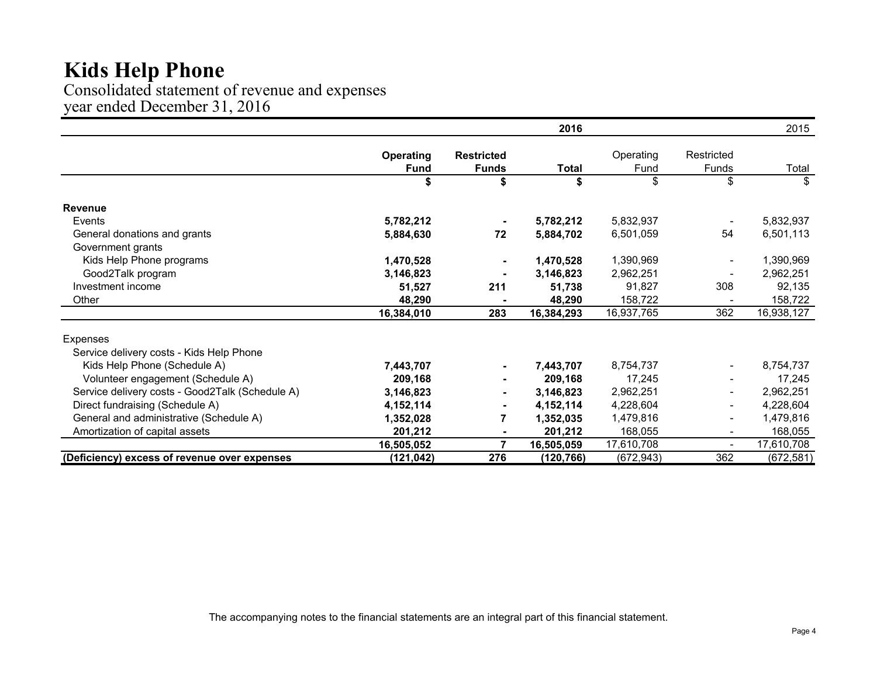Consolidated statement of revenue and expenses year ended December 31, 2016

|                                                 |                                 |                                   | 2016       |                   |                          | 2015       |
|-------------------------------------------------|---------------------------------|-----------------------------------|------------|-------------------|--------------------------|------------|
|                                                 | <b>Operating</b><br><b>Fund</b> | <b>Restricted</b><br><b>Funds</b> | Total      | Operating<br>Fund | Restricted<br>Funds      | Total      |
|                                                 | \$                              |                                   |            | \$                | \$                       | S          |
| <b>Revenue</b>                                  |                                 |                                   |            |                   |                          |            |
| Events                                          | 5,782,212                       |                                   | 5,782,212  | 5,832,937         |                          | 5,832,937  |
| General donations and grants                    | 5,884,630                       | 72                                | 5,884,702  | 6,501,059         | 54                       | 6,501,113  |
| Government grants                               |                                 |                                   |            |                   |                          |            |
| Kids Help Phone programs                        | 1,470,528                       |                                   | 1,470,528  | 1,390,969         | $\overline{\phantom{a}}$ | 1,390,969  |
| Good2Talk program                               | 3,146,823                       |                                   | 3,146,823  | 2,962,251         | $\overline{\phantom{a}}$ | 2,962,251  |
| Investment income                               | 51,527                          | 211                               | 51,738     | 91,827            | 308                      | 92,135     |
| Other                                           | 48,290                          |                                   | 48,290     | 158,722           |                          | 158,722    |
|                                                 | 16,384,010                      | 283                               | 16,384,293 | 16,937,765        | 362                      | 16,938,127 |
| Expenses                                        |                                 |                                   |            |                   |                          |            |
| Service delivery costs - Kids Help Phone        |                                 |                                   |            |                   |                          |            |
| Kids Help Phone (Schedule A)                    | 7,443,707                       |                                   | 7,443,707  | 8,754,737         | $\overline{\phantom{a}}$ | 8,754,737  |
| Volunteer engagement (Schedule A)               | 209,168                         |                                   | 209,168    | 17,245            |                          | 17,245     |
| Service delivery costs - Good2Talk (Schedule A) | 3,146,823                       |                                   | 3,146,823  | 2,962,251         |                          | 2,962,251  |
| Direct fundraising (Schedule A)                 | 4,152,114                       |                                   | 4,152,114  | 4,228,604         | $\overline{\phantom{a}}$ | 4,228,604  |
| General and administrative (Schedule A)         | 1,352,028                       | 7                                 | 1,352,035  | 1,479,816         | $\overline{\phantom{a}}$ | 1,479,816  |
| Amortization of capital assets                  | 201,212                         |                                   | 201,212    | 168,055           | $\overline{\phantom{a}}$ | 168,055    |
|                                                 | 16,505,052                      |                                   | 16,505,059 | 17,610,708        | $\overline{\phantom{a}}$ | 17,610,708 |
| (Deficiency) excess of revenue over expenses    | (121, 042)                      | 276                               | (120, 766) | (672, 943)        | 362                      | (672, 581) |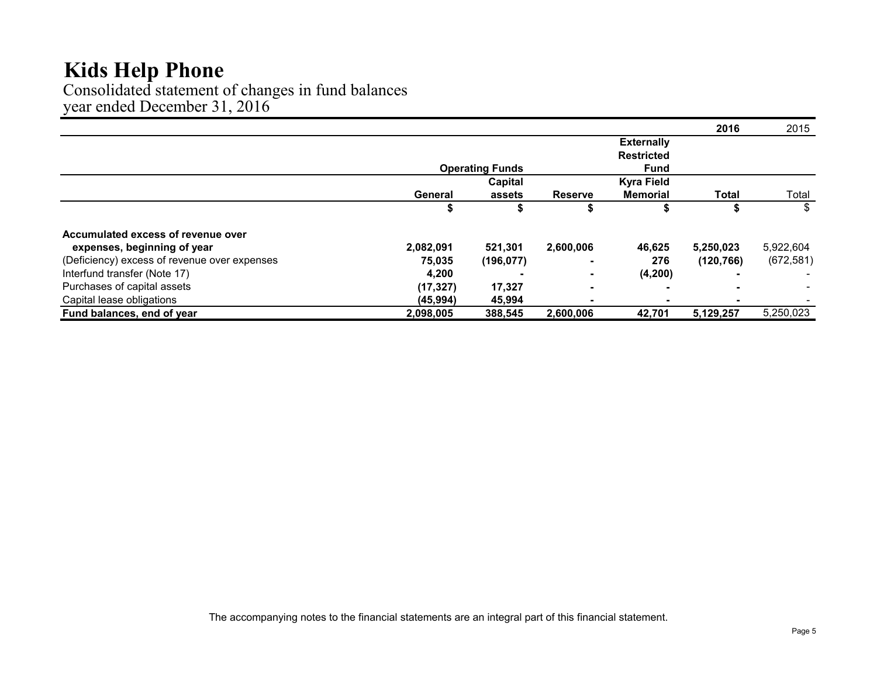Consolidated statement of changes in fund balances year ended December 31, 2016

|                                              |           |                        |                |                   | 2016         | 2015       |
|----------------------------------------------|-----------|------------------------|----------------|-------------------|--------------|------------|
|                                              |           |                        |                | <b>Externally</b> |              |            |
|                                              |           |                        |                | <b>Restricted</b> |              |            |
|                                              |           | <b>Operating Funds</b> |                | <b>Fund</b>       |              |            |
|                                              |           | Capital                |                | <b>Kyra Field</b> |              |            |
|                                              | General   | assets                 | <b>Reserve</b> | <b>Memorial</b>   | <b>Total</b> | Total      |
|                                              | J         |                        |                |                   |              | \$         |
| Accumulated excess of revenue over           |           |                        |                |                   |              |            |
| expenses, beginning of year                  | 2,082,091 | 521,301                | 2,600,006      | 46,625            | 5,250,023    | 5,922,604  |
| (Deficiency) excess of revenue over expenses | 75,035    | (196, 077)             |                | 276               | (120, 766)   | (672, 581) |
| Interfund transfer (Note 17)                 | 4,200     |                        |                | (4,200)           |              |            |
| Purchases of capital assets                  | (17, 327) | 17,327                 |                |                   |              |            |
| Capital lease obligations                    | (45, 994) | 45,994                 |                |                   |              |            |
| Fund balances, end of year                   | 2,098,005 | 388,545                | 2,600,006      | 42,701            | 5,129,257    | 5,250,023  |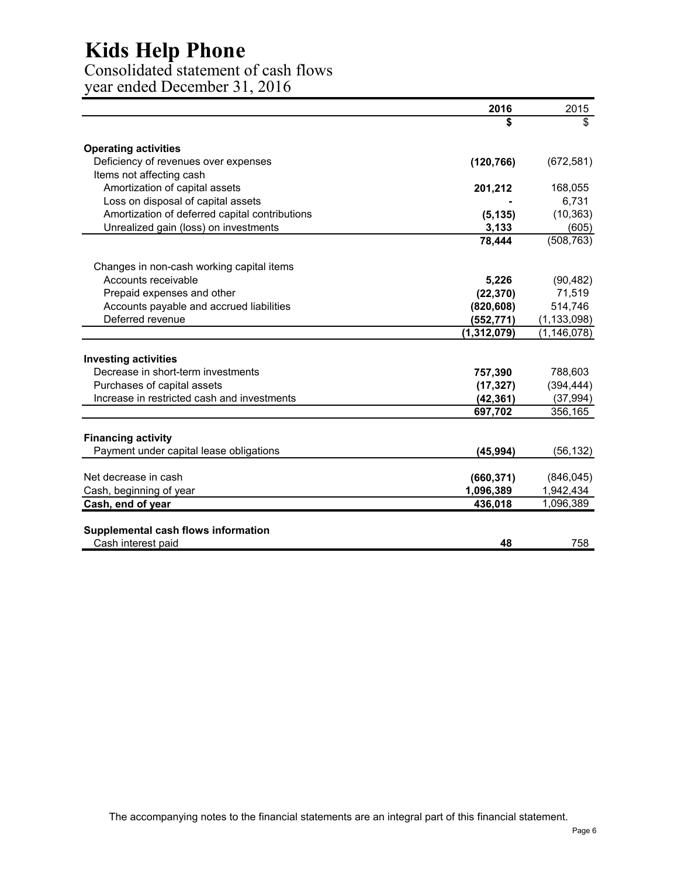Consolidated statement of cash flows

year ended December 31, 2016

|                                                | 2016          | 2015          |
|------------------------------------------------|---------------|---------------|
|                                                | \$            | \$            |
| <b>Operating activities</b>                    |               |               |
| Deficiency of revenues over expenses           | (120, 766)    | (672, 581)    |
| Items not affecting cash                       |               |               |
| Amortization of capital assets                 | 201,212       | 168,055       |
| Loss on disposal of capital assets             |               | 6,731         |
| Amortization of deferred capital contributions | (5, 135)      | (10, 363)     |
| Unrealized gain (loss) on investments          | 3,133         | (605)         |
|                                                | 78,444        | (508, 763)    |
| Changes in non-cash working capital items      |               |               |
| Accounts receivable                            | 5,226         | (90, 482)     |
| Prepaid expenses and other                     | (22, 370)     | 71,519        |
| Accounts payable and accrued liabilities       | (820, 608)    | 514,746       |
| Deferred revenue                               | (552, 771)    | (1, 133, 098) |
|                                                | (1, 312, 079) | (1, 146, 078) |
| <b>Investing activities</b>                    |               |               |
| Decrease in short-term investments             | 757,390       | 788,603       |
| Purchases of capital assets                    | (17, 327)     | (394, 444)    |
| Increase in restricted cash and investments    | (42, 361)     | (37, 994)     |
|                                                | 697,702       | 356,165       |
| <b>Financing activity</b>                      |               |               |
| Payment under capital lease obligations        | (45, 994)     | (56, 132)     |
| Net decrease in cash                           |               |               |
|                                                | (660, 371)    | (846, 045)    |
| Cash, beginning of year                        | 1,096,389     | 1,942,434     |
| Cash, end of year                              | 436,018       | 1,096,389     |
| Supplemental cash flows information            |               |               |
| Cash interest paid                             | 48            | 758           |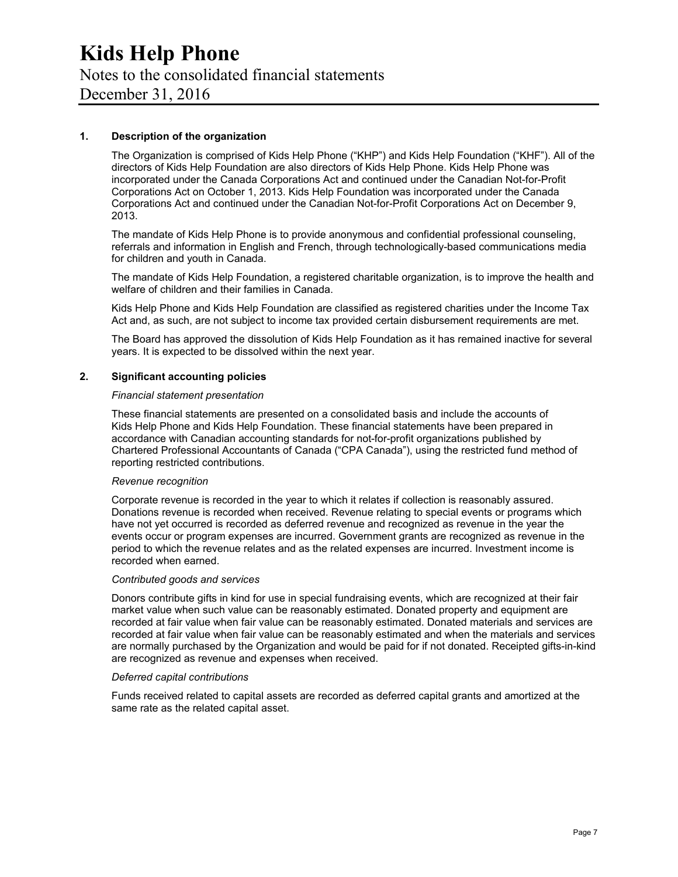### **Kids Help Phone** Notes to the consolidated financial statements December 31, 2016

#### **1. Description of the organization**

The Organization is comprised of Kids Help Phone ("KHP") and Kids Help Foundation ("KHF"). All of the directors of Kids Help Foundation are also directors of Kids Help Phone. Kids Help Phone was incorporated under the Canada Corporations Act and continued under the Canadian Not-for-Profit Corporations Act on October 1, 2013. Kids Help Foundation was incorporated under the Canada Corporations Act and continued under the Canadian Not-for-Profit Corporations Act on December 9, 2013.

The mandate of Kids Help Phone is to provide anonymous and confidential professional counseling, referrals and information in English and French, through technologically-based communications media for children and youth in Canada.

The mandate of Kids Help Foundation, a registered charitable organization, is to improve the health and welfare of children and their families in Canada.

Kids Help Phone and Kids Help Foundation are classified as registered charities under the Income Tax Act and, as such, are not subject to income tax provided certain disbursement requirements are met.

The Board has approved the dissolution of Kids Help Foundation as it has remained inactive for several years. It is expected to be dissolved within the next year.

#### **2. Significant accounting policies**

#### *Financial statement presentation*

These financial statements are presented on a consolidated basis and include the accounts of Kids Help Phone and Kids Help Foundation. These financial statements have been prepared in accordance with Canadian accounting standards for not-for-profit organizations published by Chartered Professional Accountants of Canada ("CPA Canada"), using the restricted fund method of reporting restricted contributions.

#### *Revenue recognition*

Corporate revenue is recorded in the year to which it relates if collection is reasonably assured. Donations revenue is recorded when received. Revenue relating to special events or programs which have not yet occurred is recorded as deferred revenue and recognized as revenue in the year the events occur or program expenses are incurred. Government grants are recognized as revenue in the period to which the revenue relates and as the related expenses are incurred. Investment income is recorded when earned.

#### *Contributed goods and services*

Donors contribute gifts in kind for use in special fundraising events, which are recognized at their fair market value when such value can be reasonably estimated. Donated property and equipment are recorded at fair value when fair value can be reasonably estimated. Donated materials and services are recorded at fair value when fair value can be reasonably estimated and when the materials and services are normally purchased by the Organization and would be paid for if not donated. Receipted gifts-in-kind are recognized as revenue and expenses when received.

#### *Deferred capital contributions*

Funds received related to capital assets are recorded as deferred capital grants and amortized at the same rate as the related capital asset.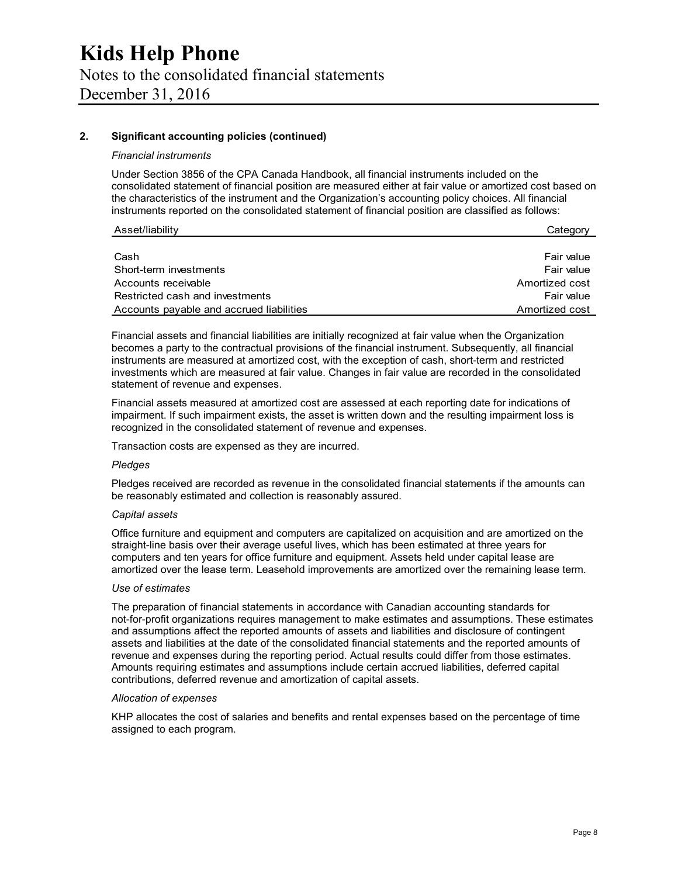#### **2. Significant accounting policies (continued)**

#### *Financial instruments*

Under Section 3856 of the CPA Canada Handbook, all financial instruments included on the consolidated statement of financial position are measured either at fair value or amortized cost based on the characteristics of the instrument and the Organization's accounting policy choices. All financial instruments reported on the consolidated statement of financial position are classified as follows:

| Asset/liability                          | Category       |
|------------------------------------------|----------------|
|                                          |                |
| Cash                                     | Fair value     |
| Short-term investments                   | Fair value     |
| Accounts receivable                      | Amortized cost |
| Restricted cash and investments          | Fair value     |
| Accounts payable and accrued liabilities | Amortized cost |

Financial assets and financial liabilities are initially recognized at fair value when the Organization becomes a party to the contractual provisions of the financial instrument. Subsequently, all financial instruments are measured at amortized cost, with the exception of cash, short-term and restricted investments which are measured at fair value. Changes in fair value are recorded in the consolidated statement of revenue and expenses.

Financial assets measured at amortized cost are assessed at each reporting date for indications of impairment. If such impairment exists, the asset is written down and the resulting impairment loss is recognized in the consolidated statement of revenue and expenses.

Transaction costs are expensed as they are incurred.

#### *Pledges*

Pledges received are recorded as revenue in the consolidated financial statements if the amounts can be reasonably estimated and collection is reasonably assured.

#### *Capital assets*

Office furniture and equipment and computers are capitalized on acquisition and are amortized on the straight-line basis over their average useful lives, which has been estimated at three years for computers and ten years for office furniture and equipment. Assets held under capital lease are amortized over the lease term. Leasehold improvements are amortized over the remaining lease term.

#### *Use of estimates*

The preparation of financial statements in accordance with Canadian accounting standards for not-for-profit organizations requires management to make estimates and assumptions. These estimates and assumptions affect the reported amounts of assets and liabilities and disclosure of contingent assets and liabilities at the date of the consolidated financial statements and the reported amounts of revenue and expenses during the reporting period. Actual results could differ from those estimates. Amounts requiring estimates and assumptions include certain accrued liabilities, deferred capital contributions, deferred revenue and amortization of capital assets.

#### *Allocation of expenses*

KHP allocates the cost of salaries and benefits and rental expenses based on the percentage of time assigned to each program.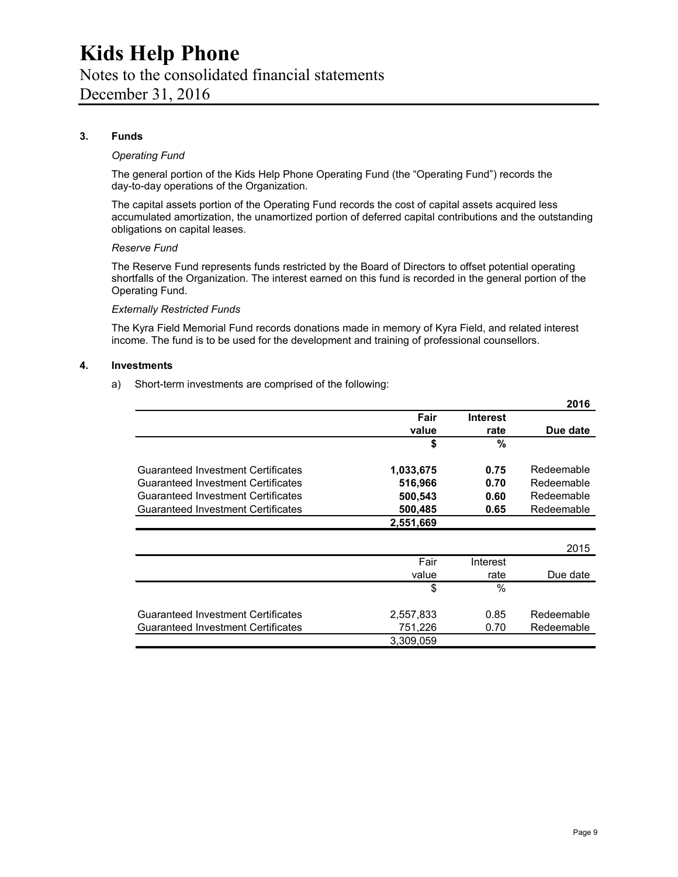### Notes to the consolidated financial statements December 31, 2016

#### **3. Funds**

#### *Operating Fund*

The general portion of the Kids Help Phone Operating Fund (the "Operating Fund") records the day-to-day operations of the Organization.

The capital assets portion of the Operating Fund records the cost of capital assets acquired less accumulated amortization, the unamortized portion of deferred capital contributions and the outstanding obligations on capital leases.

#### *Reserve Fund*

The Reserve Fund represents funds restricted by the Board of Directors to offset potential operating shortfalls of the Organization. The interest earned on this fund is recorded in the general portion of the Operating Fund.

#### *Externally Restricted Funds*

The Kyra Field Memorial Fund records donations made in memory of Kyra Field, and related interest income. The fund is to be used for the development and training of professional counsellors.

#### **4. Investments**

a) Short-term investments are comprised of the following:

|                                           |           |                 | 2016       |
|-------------------------------------------|-----------|-----------------|------------|
|                                           | Fair      | <b>Interest</b> |            |
|                                           | value     | rate            | Due date   |
|                                           | \$        | %               |            |
| <b>Guaranteed Investment Certificates</b> | 1,033,675 | 0.75            | Redeemable |
| <b>Guaranteed Investment Certificates</b> | 516,966   | 0.70            | Redeemable |
| Guaranteed Investment Certificates        | 500,543   | 0.60            | Redeemable |
| Guaranteed Investment Certificates        | 500,485   | 0.65            | Redeemable |
|                                           | 2,551,669 |                 |            |
|                                           |           |                 |            |
|                                           |           |                 | 2015       |
|                                           | Fair      | Interest        |            |
|                                           | value     | rate            | Due date   |
|                                           | \$        | $\%$            |            |
| <b>Guaranteed Investment Certificates</b> | 2,557,833 | 0.85            | Redeemable |
| <b>Guaranteed Investment Certificates</b> | 751,226   | 0.70            | Redeemable |
|                                           | 3,309,059 |                 |            |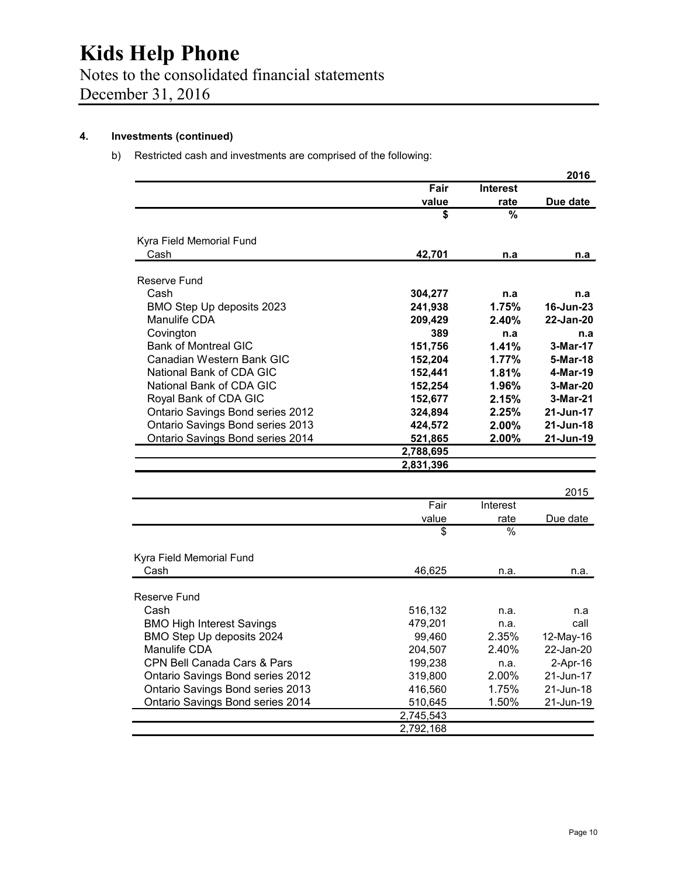# **Kids Help Phone** Notes to the consolidated financial statements

December 31, 2016

### **4. Investments (continued)**

b) Restricted cash and investments are comprised of the following:

|                                  |           |                          | 2016       |
|----------------------------------|-----------|--------------------------|------------|
|                                  | Fair      | <b>Interest</b>          |            |
|                                  | value     | rate                     | Due date   |
|                                  | \$        | $\overline{\frac{9}{6}}$ |            |
|                                  |           |                          |            |
| Kyra Field Memorial Fund         |           |                          |            |
| Cash                             | 42,701    | n.a                      | n.a        |
| Reserve Fund                     |           |                          |            |
| Cash                             | 304,277   | n.a                      | n.a        |
| BMO Step Up deposits 2023        | 241,938   | 1.75%                    | 16-Jun-23  |
| Manulife CDA                     | 209,429   | 2.40%                    | 22-Jan-20  |
| Covington                        | 389       | n.a                      | n.a        |
| <b>Bank of Montreal GIC</b>      | 151,756   | 1.41%                    | 3-Mar-17   |
| Canadian Western Bank GIC        | 152,204   | 1.77%                    | 5-Mar-18   |
| National Bank of CDA GIC         | 152,441   | 1.81%                    | 4-Mar-19   |
| National Bank of CDA GIC         | 152,254   | $1.96\%$                 | 3-Mar-20   |
| Royal Bank of CDA GIC            | 152,677   | 2.15%                    | 3-Mar-21   |
| Ontario Savings Bond series 2012 | 324,894   | 2.25%                    | 21-Jun-17  |
| Ontario Savings Bond series 2013 | 424,572   | 2.00%                    | 21-Jun-18  |
| Ontario Savings Bond series 2014 | 521,865   | 2.00%                    | 21-Jun-19  |
|                                  | 2,788,695 |                          |            |
|                                  | 2,831,396 |                          |            |
|                                  |           |                          |            |
|                                  |           |                          | 2015       |
|                                  | Fair      | Interest                 |            |
|                                  | value     | rate                     | Due date   |
|                                  | \$        | $\%$                     |            |
|                                  |           |                          |            |
| Kyra Field Memorial Fund         |           |                          |            |
| Cash                             | 46,625    | n.a.                     | n.a.       |
| Reserve Fund                     |           |                          |            |
| Cash                             | 516,132   | n.a.                     | n.a        |
| <b>BMO High Interest Savings</b> | 479,201   | n.a.                     | call       |
| BMO Step Up deposits 2024        | 99,460    | 2.35%                    | 12-May-16  |
| Manulife CDA                     | 204,507   | 2.40%                    | 22-Jan-20  |
| CPN Bell Canada Cars & Pars      | 199,238   | n.a.                     | $2-Apr-16$ |
| Ontario Savings Bond series 2012 | 319,800   | 2.00%                    | 21-Jun-17  |
| Ontario Savings Bond series 2013 | 416,560   | 1.75%                    | 21-Jun-18  |
| Ontario Savings Bond series 2014 | 510,645   | 1.50%                    | 21-Jun-19  |
|                                  | 2,745,543 |                          |            |
|                                  | 2,792,168 |                          |            |
|                                  |           |                          |            |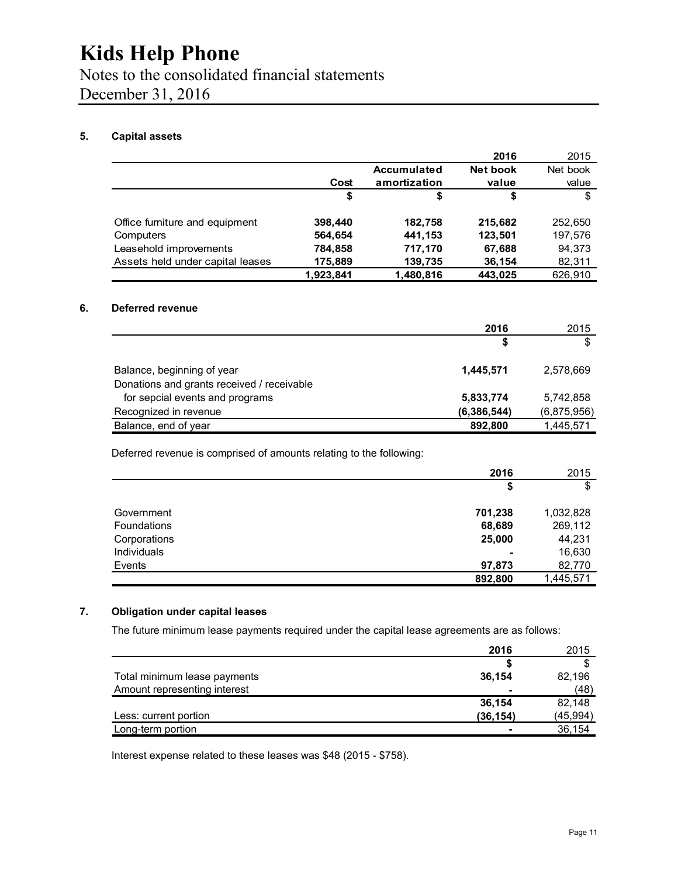# Notes to the consolidated financial statements

December 31, 2016

#### **5. Capital assets**

|                                  |           |                    | 2016     | 2015     |
|----------------------------------|-----------|--------------------|----------|----------|
|                                  |           | <b>Accumulated</b> | Net book | Net book |
|                                  | Cost      | amortization       | value    | value    |
|                                  | \$        | \$                 | \$       | \$       |
| Office furniture and equipment   | 398,440   | 182,758            | 215,682  | 252,650  |
| Computers                        | 564,654   | 441,153            | 123.501  | 197,576  |
| Leasehold improvements           | 784,858   | 717,170            | 67,688   | 94,373   |
| Assets held under capital leases | 175,889   | 139,735            | 36,154   | 82,311   |
|                                  | 1.923.841 | 1,480,816          | 443.025  | 626.910  |

#### **6. Deferred revenue**

|                                                                          | 2016          | 2015        |
|--------------------------------------------------------------------------|---------------|-------------|
|                                                                          | S             | \$          |
| Balance, beginning of year<br>Donations and grants received / receivable | 1,445,571     | 2,578,669   |
| for sepcial events and programs                                          | 5,833,774     | 5,742,858   |
| Recognized in revenue                                                    | (6, 386, 544) | (6,875,956) |
| Balance, end of year                                                     | 892.800       | 1,445,571   |

Deferred revenue is comprised of amounts relating to the following:

|                    | 2016    | 2015      |
|--------------------|---------|-----------|
|                    | \$      | \$        |
| Government         | 701,238 | 1,032,828 |
| <b>Foundations</b> | 68,689  | 269,112   |
| Corporations       | 25,000  | 44,231    |
| Individuals        | ۰       | 16,630    |
| Events             | 97,873  | 82,770    |
|                    | 892,800 | 1,445,571 |

#### **7. Obligation under capital leases**

The future minimum lease payments required under the capital lease agreements are as follows:

|                              | 2016      | 2015     |
|------------------------------|-----------|----------|
|                              |           |          |
| Total minimum lease payments | 36.154    | 82,196   |
| Amount representing interest | -         | (48)     |
|                              | 36,154    | 82,148   |
| Less: current portion        | (36, 154) | (45,994) |
| Long-term portion            |           | 36,154   |

Interest expense related to these leases was \$48 (2015 - \$758).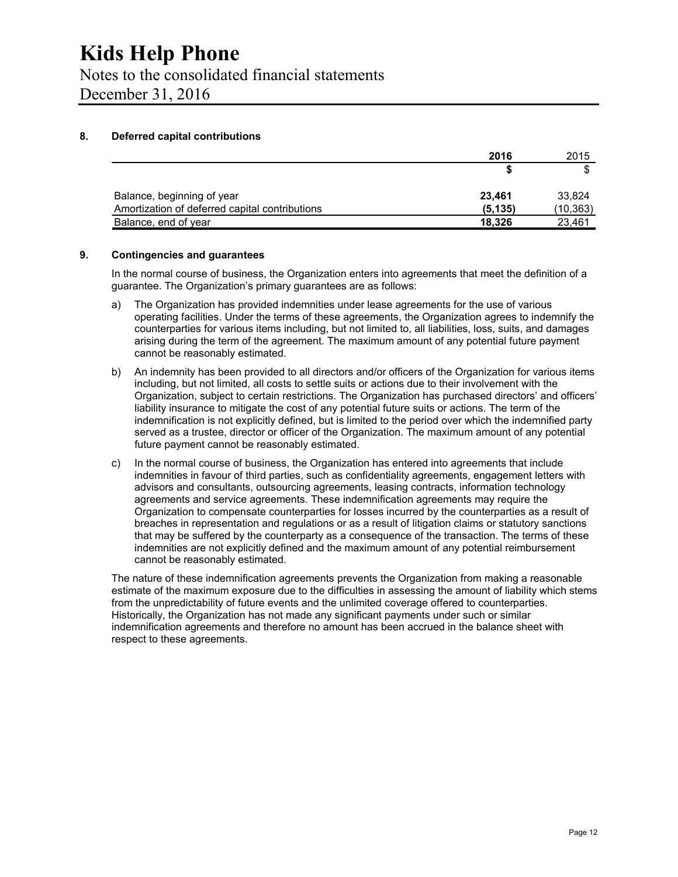Notes to the consolidated financial statements December 31, 2016

#### **8. Deferred capital contributions**

|                                                | 2016     | 2015      |
|------------------------------------------------|----------|-----------|
|                                                |          |           |
| Balance, beginning of year                     | 23,461   | 33.824    |
| Amortization of deferred capital contributions | (5, 135) | (10, 363) |
| Balance, end of year                           | 18,326   | 23,461    |

#### **9. Contingencies and guarantees**

In the normal course of business, the Organization enters into agreements that meet the definition of a guarantee. The Organization's primary guarantees are as follows:

- a) The Organization has provided indemnities under lease agreements for the use of various operating facilities. Under the terms of these agreements, the Organization agrees to indemnify the counterparties for various items including, but not limited to, all liabilities, loss, suits, and damages arising during the term of the agreement. The maximum amount of any potential future payment cannot be reasonably estimated.
- b) An indemnity has been provided to all directors and/or officers of the Organization for various items including, but not limited, all costs to settle suits or actions due to their involvement with the Organization, subject to certain restrictions. The Organization has purchased directors' and officers' liability insurance to mitigate the cost of any potential future suits or actions. The term of the indemnification is not explicitly defined, but is limited to the period over which the indemnified party served as a trustee, director or officer of the Organization. The maximum amount of any potential future payment cannot be reasonably estimated.
- c) In the normal course of business, the Organization has entered into agreements that include indemnities in favour of third parties, such as confidentiality agreements, engagement letters with advisors and consultants, outsourcing agreements, leasing contracts, information technology agreements and service agreements. These indemnification agreements may require the Organization to compensate counterparties for losses incurred by the counterparties as a result of breaches in representation and regulations or as a result of litigation claims or statutory sanctions that may be suffered by the counterparty as a consequence of the transaction. The terms of these indemnities are not explicitly defined and the maximum amount of any potential reimbursement cannot be reasonably estimated.

The nature of these indemnification agreements prevents the Organization from making a reasonable estimate of the maximum exposure due to the difficulties in assessing the amount of liability which stems from the unpredictability of future events and the unlimited coverage offered to counterparties. Historically, the Organization has not made any significant payments under such or similar indemnification agreements and therefore no amount has been accrued in the balance sheet with respect to these agreements.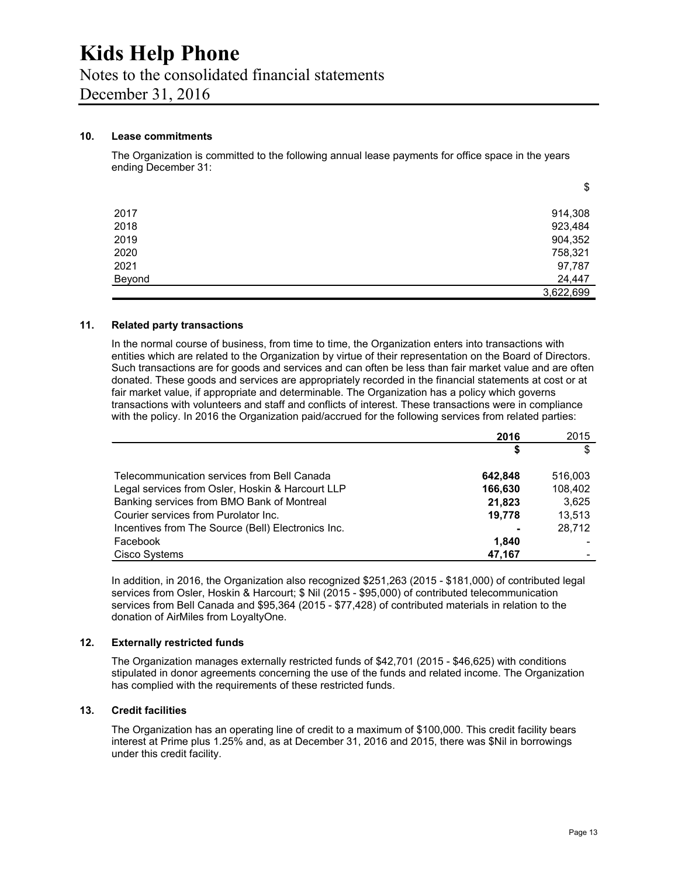### Notes to the consolidated financial statements

December 31, 2016

#### **10. Lease commitments**

The Organization is committed to the following annual lease payments for office space in the years ending December 31:

|        | Ψ         |
|--------|-----------|
| 2017   | 914,308   |
| 2018   | 923,484   |
| 2019   | 904,352   |
| 2020   | 758,321   |
| 2021   | 97,787    |
| Beyond | 24,447    |
|        | 3,622,699 |

#### **11. Related party transactions**

In the normal course of business, from time to time, the Organization enters into transactions with entities which are related to the Organization by virtue of their representation on the Board of Directors. Such transactions are for goods and services and can often be less than fair market value and are often donated. These goods and services are appropriately recorded in the financial statements at cost or at fair market value, if appropriate and determinable. The Organization has a policy which governs transactions with volunteers and staff and conflicts of interest. These transactions were in compliance with the policy. In 2016 the Organization paid/accrued for the following services from related parties:

|                                                    | 2016    | 2015    |
|----------------------------------------------------|---------|---------|
|                                                    | \$      | \$      |
| Telecommunication services from Bell Canada        | 642,848 | 516,003 |
| Legal services from Osler, Hoskin & Harcourt LLP   | 166.630 | 108,402 |
| Banking services from BMO Bank of Montreal         | 21,823  | 3,625   |
| Courier services from Purolator Inc.               | 19,778  | 13,513  |
| Incentives from The Source (Bell) Electronics Inc. |         | 28.712  |
| Facebook                                           | 1.840   |         |
| Cisco Systems                                      | 47.167  |         |

In addition, in 2016, the Organization also recognized \$251,263 (2015 - \$181,000) of contributed legal services from Osler, Hoskin & Harcourt; \$ Nil (2015 - \$95,000) of contributed telecommunication services from Bell Canada and \$95,364 (2015 - \$77,428) of contributed materials in relation to the donation of AirMiles from LoyaltyOne.

#### **12. Externally restricted funds**

The Organization manages externally restricted funds of \$42,701 (2015 - \$46,625) with conditions stipulated in donor agreements concerning the use of the funds and related income. The Organization has complied with the requirements of these restricted funds.

#### **13. Credit facilities**

The Organization has an operating line of credit to a maximum of \$100,000. This credit facility bears interest at Prime plus 1.25% and, as at December 31, 2016 and 2015, there was \$Nil in borrowings under this credit facility.

\$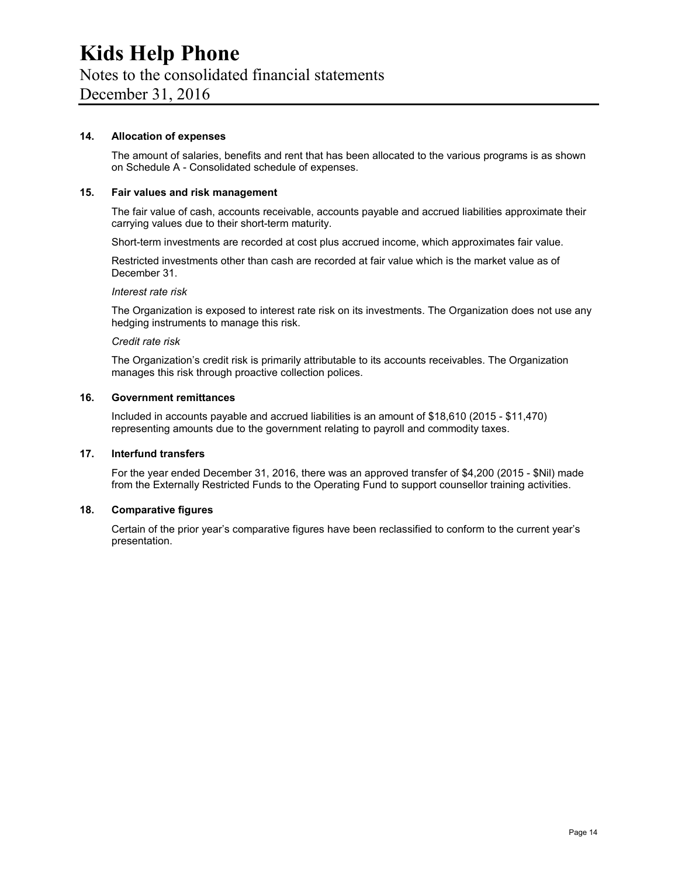### Notes to the consolidated financial statements

December 31, 2016

#### **14. Allocation of expenses**

The amount of salaries, benefits and rent that has been allocated to the various programs is as shown on Schedule A - Consolidated schedule of expenses.

#### **15. Fair values and risk management**

The fair value of cash, accounts receivable, accounts payable and accrued liabilities approximate their carrying values due to their short-term maturity.

Short-term investments are recorded at cost plus accrued income, which approximates fair value.

Restricted investments other than cash are recorded at fair value which is the market value as of December 31.

#### *Interest rate risk*

The Organization is exposed to interest rate risk on its investments. The Organization does not use any hedging instruments to manage this risk.

#### *Credit rate risk*

The Organization's credit risk is primarily attributable to its accounts receivables. The Organization manages this risk through proactive collection polices.

#### **16. Government remittances**

Included in accounts payable and accrued liabilities is an amount of \$18,610 (2015 - \$11,470) representing amounts due to the government relating to payroll and commodity taxes.

#### **17. Interfund transfers**

For the year ended December 31, 2016, there was an approved transfer of \$4,200 (2015 - \$Nil) made from the Externally Restricted Funds to the Operating Fund to support counsellor training activities.

#### **18. Comparative figures**

Certain of the prior year's comparative figures have been reclassified to conform to the current year's presentation.